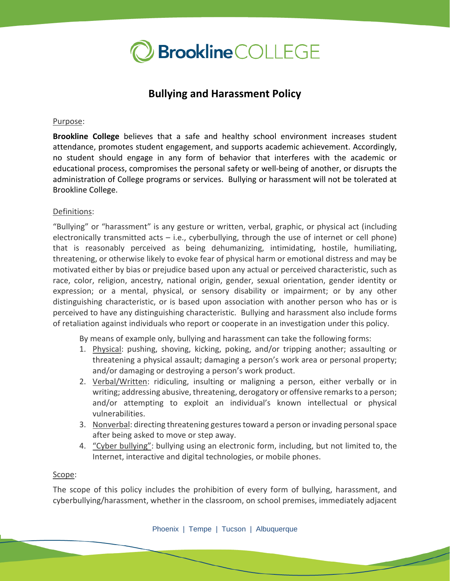

# **Bullying and Harassment Policy**

#### Purpose:

**Brookline College** believes that a safe and healthy school environment increases student attendance, promotes student engagement, and supports academic achievement. Accordingly, no student should engage in any form of behavior that interferes with the academic or educational process, compromises the personal safety or well-being of another, or disrupts the administration of College programs or services. Bullying or harassment will not be tolerated at Brookline College.

#### Definitions:

"Bullying" or "harassment" is any gesture or written, verbal, graphic, or physical act (including electronically transmitted acts  $-$  i.e., cyberbullying, through the use of internet or cell phone) that is reasonably perceived as being dehumanizing, intimidating, hostile, humiliating, threatening, or otherwise likely to evoke fear of physical harm or emotional distress and may be motivated either by bias or prejudice based upon any actual or perceived characteristic, such as race, color, religion, ancestry, national origin, gender, sexual orientation, gender identity or expression; or a mental, physical, or sensory disability or impairment; or by any other distinguishing characteristic, or is based upon association with another person who has or is perceived to have any distinguishing characteristic. Bullying and harassment also include forms of retaliation against individuals who report or cooperate in an investigation under this policy.

By means of example only, bullying and harassment can take the following forms:

- 1. Physical: pushing, shoving, kicking, poking, and/or tripping another; assaulting or threatening a physical assault; damaging a person's work area or personal property; and/or damaging or destroying a person's work product.
- 2. Verbal/Written: ridiculing, insulting or maligning a person, either verbally or in writing; addressing abusive, threatening, derogatory or offensive remarks to a person; and/or attempting to exploit an individual's known intellectual or physical vulnerabilities.
- 3. Nonverbal: directing threatening gestures toward a person or invading personal space after being asked to move or step away.
- 4. "Cyber bullying": bullying using an electronic form, including, but not limited to, the Internet, interactive and digital technologies, or mobile phones.

#### Scope:

The scope of this policy includes the prohibition of every form of bullying, harassment, and cyberbullying/harassment, whether in the classroom, on school premises, immediately adjacent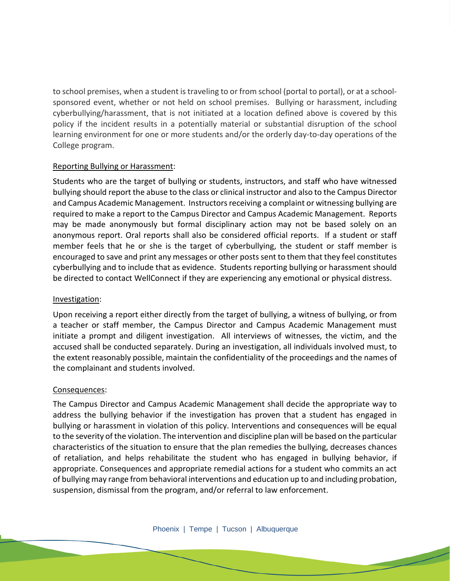to school premises, when a student is traveling to or from school (portal to portal), or at a schoolsponsored event, whether or not held on school premises. Bullying or harassment, including cyberbullying/harassment, that is not initiated at a location defined above is covered by this policy if the incident results in a potentially material or substantial disruption of the school learning environment for one or more students and/or the orderly day-to-day operations of the College program.

## Reporting Bullying or Harassment:

Students who are the target of bullying or students, instructors, and staff who have witnessed bullying should report the abuse to the class or clinical instructor and also to the Campus Director and Campus Academic Management. Instructors receiving a complaint or witnessing bullying are required to make a report to the Campus Director and Campus Academic Management. Reports may be made anonymously but formal disciplinary action may not be based solely on an anonymous report. Oral reports shall also be considered official reports. If a student or staff member feels that he or she is the target of cyberbullying, the student or staff member is encouraged to save and print any messages or other posts sent to them that they feel constitutes cyberbullying and to include that as evidence. Students reporting bullying or harassment should be directed to contact WellConnect if they are experiencing any emotional or physical distress.

## Investigation:

Upon receiving a report either directly from the target of bullying, a witness of bullying, or from a teacher or staff member, the Campus Director and Campus Academic Management must initiate a prompt and diligent investigation. All interviews of witnesses, the victim, and the accused shall be conducted separately. During an investigation, all individuals involved must, to the extent reasonably possible, maintain the confidentiality of the proceedings and the names of the complainant and students involved.

# Consequences:

The Campus Director and Campus Academic Management shall decide the appropriate way to address the bullying behavior if the investigation has proven that a student has engaged in bullying or harassment in violation of this policy. Interventions and consequences will be equal to the severity of the violation. The intervention and discipline plan will be based on the particular characteristics of the situation to ensure that the plan remedies the bullying, decreases chances of retaliation, and helps rehabilitate the student who has engaged in bullying behavior, if appropriate. Consequences and appropriate remedial actions for a student who commits an act of bullying may range from behavioral interventions and education up to and including probation, suspension, dismissal from the program, and/or referral to law enforcement.